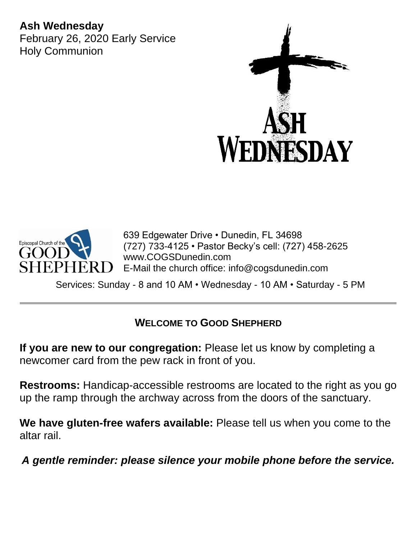**Ash Wednesday** February 26, 2020 Early Service Holy Communion





639 Edgewater Drive • Dunedin, FL 34698 (727) 733-4125 • Pastor Becky's cell: (727) 458-2625 www.COGSDunedin.com E-Mail the church office: info@cogsdunedin.com

Services: Sunday - 8 and 10 AM • Wednesday - 10 AM • Saturday - 5 PM

# **WELCOME TO GOOD SHEPHERD**

**If you are new to our congregation:** Please let us know by completing a newcomer card from the pew rack in front of you.

**Restrooms:** Handicap-accessible restrooms are located to the right as you go up the ramp through the archway across from the doors of the sanctuary.

**We have gluten-free wafers available:** Please tell us when you come to the altar rail.

*A gentle reminder: please silence your mobile phone before the service.*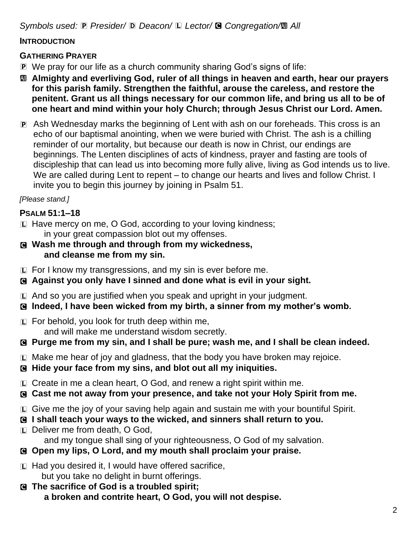*Symbols used:* P *Presider/* D *Deacon/* L *Lector/* C *Congregation/*a *All*

### **INTRODUCTION**

### **GATHERING PRAYER**

- P We pray for our life as a church community sharing God's signs of life:
- a **Almighty and everliving God, ruler of all things in heaven and earth, hear our prayers for this parish family. Strengthen the faithful, arouse the careless, and restore the penitent. Grant us all things necessary for our common life, and bring us all to be of one heart and mind within your holy Church; through Jesus Christ our Lord. Amen.**
- P Ash Wednesday marks the beginning of Lent with ash on our foreheads. This cross is an echo of our baptismal anointing, when we were buried with Christ. The ash is a chilling reminder of our mortality, but because our death is now in Christ, our endings are beginnings. The Lenten disciplines of acts of kindness, prayer and fasting are tools of discipleship that can lead us into becoming more fully alive, living as God intends us to live. We are called during Lent to repent – to change our hearts and lives and follow Christ. I invite you to begin this journey by joining in Psalm 51.

*[Please stand.]*

## **PSALM 51:1–18**

- L Have mercy on me, O God, according to your loving kindness; in your great compassion blot out my offenses.
- C **Wash me through and through from my wickedness, and cleanse me from my sin.**
- L For I know my transgressions, and my sin is ever before me.
- C **Against you only have I sinned and done what is evil in your sight.**
- L And so you are justified when you speak and upright in your judgment.
- C **Indeed, I have been wicked from my birth, a sinner from my mother's womb.**
- $L$  For behold, you look for truth deep within me, and will make me understand wisdom secretly.
- C **Purge me from my sin, and I shall be pure; wash me, and I shall be clean indeed.**
- L Make me hear of joy and gladness, that the body you have broken may rejoice.
- C **Hide your face from my sins, and blot out all my iniquities.**
- L Create in me a clean heart, O God, and renew a right spirit within me.
- G Cast me not away from your presence, and take not your Holy Spirit from me.
- L Give me the joy of your saving help again and sustain me with your bountiful Spirit.
- C **I shall teach your ways to the wicked, and sinners shall return to you.**
- L Deliver me from death, O God, and my tongue shall sing of your righteousness, O God of my salvation.
- C **Open my lips, O Lord, and my mouth shall proclaim your praise.**
- $\Box$  Had you desired it, I would have offered sacrifice, but you take no delight in burnt offerings.
- C **The sacrifice of God is a troubled spirit; a broken and contrite heart, O God, you will not despise.**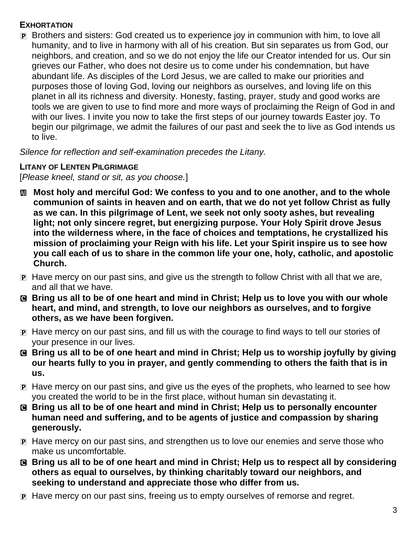### **EXHORTATION**

P Brothers and sisters: God created us to experience joy in communion with him, to love all humanity, and to live in harmony with all of his creation. But sin separates us from God, our neighbors, and creation, and so we do not enjoy the life our Creator intended for us. Our sin grieves our Father, who does not desire us to come under his condemnation, but have abundant life. As disciples of the Lord Jesus, we are called to make our priorities and purposes those of loving God, loving our neighbors as ourselves, and loving life on this planet in all its richness and diversity. Honesty, fasting, prayer, study and good works are tools we are given to use to find more and more ways of proclaiming the Reign of God in and with our lives. I invite you now to take the first steps of our journey towards Easter joy. To begin our pilgrimage, we admit the failures of our past and seek the to live as God intends us to live.

*Silence for reflection and self-examination precedes the Litany.*

#### **LITANY OF LENTEN PILGRIMAGE**

[*Please kneel, stand or sit, as you choose.*]

- a **Most holy and merciful God: We confess to you and to one another, and to the whole communion of saints in heaven and on earth, that we do not yet follow Christ as fully as we can. In this pilgrimage of Lent, we seek not only sooty ashes, but revealing light; not only sincere regret, but energizing purpose. Your Holy Spirit drove Jesus into the wilderness where, in the face of choices and temptations, he crystallized his mission of proclaiming your Reign with his life. Let your Spirit inspire us to see how you call each of us to share in the common life your one, holy, catholic, and apostolic Church.**
- P Have mercy on our past sins, and give us the strength to follow Christ with all that we are, and all that we have.
- C **Bring us all to be of one heart and mind in Christ; Help us to love you with our whole heart, and mind, and strength, to love our neighbors as ourselves, and to forgive others, as we have been forgiven.**
- P Have mercy on our past sins, and fill us with the courage to find ways to tell our stories of your presence in our lives.
- C **Bring us all to be of one heart and mind in Christ; Help us to worship joyfully by giving our hearts fully to you in prayer, and gently commending to others the faith that is in us.**
- P Have mercy on our past sins, and give us the eyes of the prophets, who learned to see how you created the world to be in the first place, without human sin devastating it.
- C **Bring us all to be of one heart and mind in Christ; Help us to personally encounter human need and suffering, and to be agents of justice and compassion by sharing generously.**
- P Have mercy on our past sins, and strengthen us to love our enemies and serve those who make us uncomfortable.
- C **Bring us all to be of one heart and mind in Christ; Help us to respect all by considering others as equal to ourselves, by thinking charitably toward our neighbors, and seeking to understand and appreciate those who differ from us.**
- P Have mercy on our past sins, freeing us to empty ourselves of remorse and regret.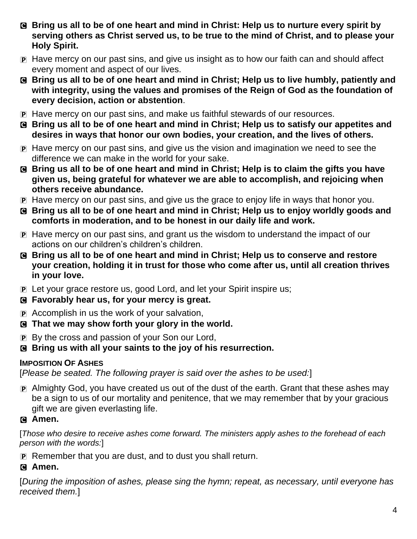- C **Bring us all to be of one heart and mind in Christ: Help us to nurture every spirit by serving others as Christ served us, to be true to the mind of Christ, and to please your Holy Spirit.**
- P Have mercy on our past sins, and give us insight as to how our faith can and should affect every moment and aspect of our lives.
- C **Bring us all to be of one heart and mind in Christ; Help us to live humbly, patiently and with integrity, using the values and promises of the Reign of God as the foundation of every decision, action or abstention**.
- P Have mercy on our past sins, and make us faithful stewards of our resources.
- C **Bring us all to be of one heart and mind in Christ; Help us to satisfy our appetites and desires in ways that honor our own bodies, your creation, and the lives of others.**
- P Have mercy on our past sins, and give us the vision and imagination we need to see the difference we can make in the world for your sake.
- C **Bring us all to be of one heart and mind in Christ; Help is to claim the gifts you have given us, being grateful for whatever we are able to accomplish, and rejoicing when others receive abundance.**
- P Have mercy on our past sins, and give us the grace to enjoy life in ways that honor you.
- C **Bring us all to be of one heart and mind in Christ; Help us to enjoy worldly goods and comforts in moderation, and to be honest in our daily life and work.**
- P Have mercy on our past sins, and grant us the wisdom to understand the impact of our actions on our children's children's children.
- C **Bring us all to be of one heart and mind in Christ; Help us to conserve and restore your creation, holding it in trust for those who come after us, until all creation thrives in your love.**
- P Let your grace restore us, good Lord, and let your Spirit inspire us;
- C **Favorably hear us, for your mercy is great.**
- P Accomplish in us the work of your salvation,
- C **That we may show forth your glory in the world.**
- P By the cross and passion of your Son our Lord,
- C **Bring us with all your saints to the joy of his resurrection.**

### **IMPOSITION OF ASHES**

[*Please be seated. The following prayer is said over the ashes to be used:*]

P Almighty God, you have created us out of the dust of the earth. Grant that these ashes may be a sign to us of our mortality and penitence, that we may remember that by your gracious gift we are given everlasting life.

### C **Amen.**

[*Those who desire to receive ashes come forward. The ministers apply ashes to the forehead of each person with the words:*]

P Remember that you are dust, and to dust you shall return.

# C **Amen.**

[*During the imposition of ashes, please sing the hymn; repeat, as necessary, until everyone has received them.*]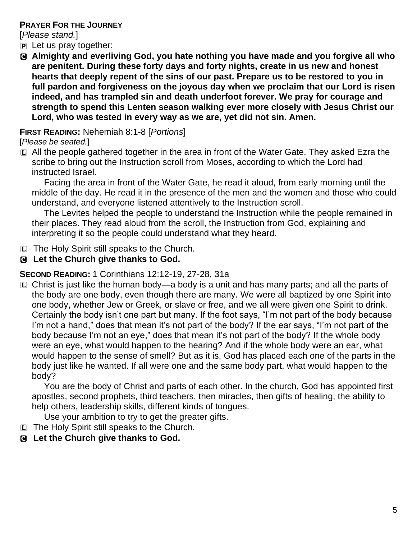#### **PRAYER FOR THE JOURNEY** [*Please stand.*]

- P Let us pray together:
- C **Almighty and everliving God, you hate nothing you have made and you forgive all who are penitent. During these forty days and forty nights, create in us new and honest hearts that deeply repent of the sins of our past. Prepare us to be restored to you in full pardon and forgiveness on the joyous day when we proclaim that our Lord is risen indeed, and has trampled sin and death underfoot forever. We pray for courage and strength to spend this Lenten season walking ever more closely with Jesus Christ our Lord, who was tested in every way as we are, yet did not sin. Amen.**

# **FIRST READING:** Nehemiah 8:1-8 [*Portions*]

### [*Please be seated.*]

L All the people gathered together in the area in front of the Water Gate. They asked Ezra the scribe to bring out the Instruction scroll from Moses, according to which the Lord had instructed Israel.

Facing the area in front of the Water Gate, he read it aloud, from early morning until the middle of the day. He read it in the presence of the men and the women and those who could understand, and everyone listened attentively to the Instruction scroll.

The Levites helped the people to understand the Instruction while the people remained in their places. They read aloud from the scroll, the Instruction from God, explaining and interpreting it so the people could understand what they heard.

**L** The Holy Spirit still speaks to the Church.

# C **Let the Church give thanks to God.**

#### **SECOND READING:** 1 Corinthians 12:12-19, 27-28, 31a

 $\Box$  Christ is just like the human body—a body is a unit and has many parts; and all the parts of the body are one body, even though there are many. We were all baptized by one Spirit into one body, whether Jew or Greek, or slave or free, and we all were given one Spirit to drink. Certainly the body isn't one part but many. If the foot says, "I'm not part of the body because I'm not a hand," does that mean it's not part of the body? If the ear says, "I'm not part of the body because I'm not an eye," does that mean it's not part of the body? If the whole body were an eye, what would happen to the hearing? And if the whole body were an ear, what would happen to the sense of smell? But as it is, God has placed each one of the parts in the body just like he wanted. If all were one and the same body part, what would happen to the body?

You are the body of Christ and parts of each other. In the church, God has appointed first apostles, second prophets, third teachers, then miracles, then gifts of healing, the ability to help others, leadership skills, different kinds of tongues.

Use your ambition to try to get the greater gifts.

L The Holy Spirit still speaks to the Church.

### C **Let the Church give thanks to God.**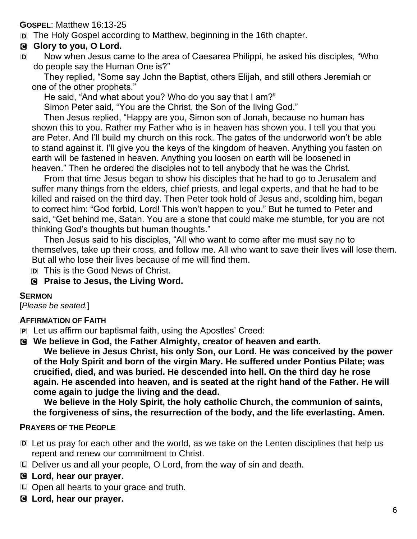**GOSPEL**: Matthew 16:13-25

D The Holy Gospel according to Matthew, beginning in the 16th chapter.

# G Glory to you, O Lord.

D Now when Jesus came to the area of Caesarea Philippi, he asked his disciples, "Who do people say the Human One is?"

They replied, "Some say John the Baptist, others Elijah, and still others Jeremiah or one of the other prophets."

He said, "And what about you? Who do you say that I am?"

Simon Peter said, "You are the Christ, the Son of the living God."

Then Jesus replied, "Happy are you, Simon son of Jonah, because no human has shown this to you. Rather my Father who is in heaven has shown you. I tell you that you are Peter. And I'll build my church on this rock. The gates of the underworld won't be able to stand against it. I'll give you the keys of the kingdom of heaven. Anything you fasten on earth will be fastened in heaven. Anything you loosen on earth will be loosened in heaven." Then he ordered the disciples not to tell anybody that he was the Christ.

From that time Jesus began to show his disciples that he had to go to Jerusalem and suffer many things from the elders, chief priests, and legal experts, and that he had to be killed and raised on the third day. Then Peter took hold of Jesus and, scolding him, began to correct him: "God forbid, Lord! This won't happen to you." But he turned to Peter and said, "Get behind me, Satan. You are a stone that could make me stumble, for you are not thinking God's thoughts but human thoughts."

Then Jesus said to his disciples, "All who want to come after me must say no to themselves, take up their cross, and follow me. All who want to save their lives will lose them. But all who lose their lives because of me will find them.

- D This is the Good News of Christ.
- C **Praise to Jesus, the Living Word.**

### **SERMON**

[*Please be seated.*]

### **AFFIRMATION OF FAITH**

- P Let us affirm our baptismal faith, using the Apostles' Creed:
- C **We believe in God, the Father Almighty, creator of heaven and earth.**

**We believe in Jesus Christ, his only Son, our Lord. He was conceived by the power of the Holy Spirit and born of the virgin Mary. He suffered under Pontius Pilate; was crucified, died, and was buried. He descended into hell. On the third day he rose again. He ascended into heaven, and is seated at the right hand of the Father. He will come again to judge the living and the dead.** 

**We believe in the Holy Spirit, the holy catholic Church, the communion of saints, the forgiveness of sins, the resurrection of the body, and the life everlasting. Amen.**

### **PRAYERS OF THE PEOPLE**

- D Let us pray for each other and the world, as we take on the Lenten disciplines that help us repent and renew our commitment to Christ.
- L Deliver us and all your people, O Lord, from the way of sin and death.

### C **Lord, hear our prayer.**

- **L** Open all hearts to your grace and truth.
- C **Lord, hear our prayer.**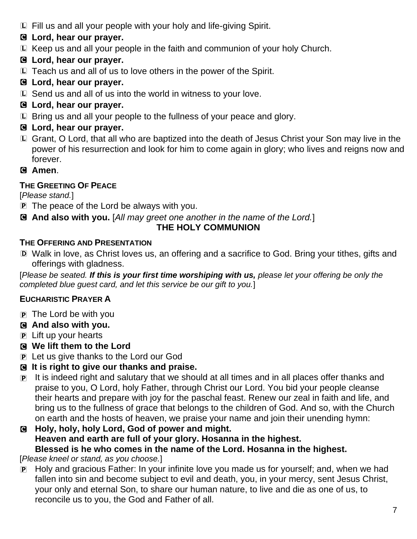- L Fill us and all your people with your holy and life-giving Spirit.
- C **Lord, hear our prayer.**
- L Keep us and all your people in the faith and communion of your holy Church.
- C **Lord, hear our prayer.**
- L Teach us and all of us to love others in the power of the Spirit.
- C **Lord, hear our prayer.**
- L Send us and all of us into the world in witness to your love.
- C **Lord, hear our prayer.**
- L Bring us and all your people to the fullness of your peace and glory.
- C **Lord, hear our prayer.**
- L Grant, O Lord, that all who are baptized into the death of Jesus Christ your Son may live in the power of his resurrection and look for him to come again in glory; who lives and reigns now and forever.
- C **Amen**.

# **THE GREETING OF PEACE**

[*Please stand.*]

- P The peace of the Lord be always with you.
- C **And also with you.** [*All may greet one another in the name of the Lord.*]

# **THE HOLY COMMUNION**

# **THE OFFERING AND PRESENTATION**

D Walk in love, as Christ loves us, an offering and a sacrifice to God. Bring your tithes, gifts and offerings with gladness.

[*Please be seated. If this is your first time worshiping with us, please let your offering be only the completed blue guest card, and let this service be our gift to you.*]

# **EUCHARISTIC PRAYER A**

- P The Lord be with you
- C **And also with you.**
- P Lift up your hearts
- C **We lift them to the Lord**
- P Let us give thanks to the Lord our God
- C **It is right to give our thanks and praise.**
- P It is indeed right and salutary that we should at all times and in all places offer thanks and praise to you, O Lord, holy Father, through Christ our Lord. You bid your people cleanse their hearts and prepare with joy for the paschal feast. Renew our zeal in faith and life, and bring us to the fullness of grace that belongs to the children of God. And so, with the Church on earth and the hosts of heaven, we praise your name and join their unending hymn:
- C **Holy, holy, holy Lord, God of power and might. Heaven and earth are full of your glory. Hosanna in the highest. Blessed is he who comes in the name of the Lord. Hosanna in the highest.**

[*Please kneel or stand, as you choose.*]

P Holy and gracious Father: In your infinite love you made us for yourself; and, when we had fallen into sin and become subject to evil and death, you, in your mercy, sent Jesus Christ, your only and eternal Son, to share our human nature, to live and die as one of us, to reconcile us to you, the God and Father of all.